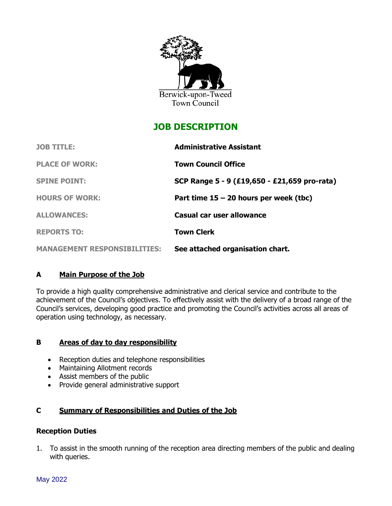

# **JOB DESCRIPTION**

| <b>JOB TITLE:</b>                   | <b>Administrative Assistant</b>              |
|-------------------------------------|----------------------------------------------|
| <b>PLACE OF WORK:</b>               | <b>Town Council Office</b>                   |
| <b>SPINE POINT:</b>                 | SCP Range 5 - 9 (£19,650 - £21,659 pro-rata) |
| <b>HOURS OF WORK:</b>               | Part time $15 - 20$ hours per week (tbc)     |
| <b>ALLOWANCES:</b>                  | Casual car user allowance                    |
| <b>REPORTS TO:</b>                  | <b>Town Clerk</b>                            |
| <b>MANAGEMENT RESPONSIBILITIES:</b> | See attached organisation chart.             |

## **A Main Purpose of the Job**

To provide a high quality comprehensive administrative and clerical service and contribute to the achievement of the Council's objectives. To effectively assist with the delivery of a broad range of the Council's services, developing good practice and promoting the Council's activities across all areas of operation using technology, as necessary.

## **B Areas of day to day responsibility**

- Reception duties and telephone responsibilities
- Maintaining Allotment records
- Assist members of the public
- Provide general administrative support

## **C Summary of Responsibilities and Duties of the Job**

## **Reception Duties**

1. To assist in the smooth running of the reception area directing members of the public and dealing with queries.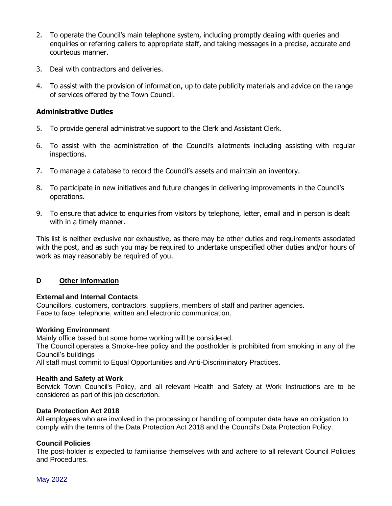- 2. To operate the Council's main telephone system, including promptly dealing with queries and enquiries or referring callers to appropriate staff, and taking messages in a precise, accurate and courteous manner.
- 3. Deal with contractors and deliveries.
- 4. To assist with the provision of information, up to date publicity materials and advice on the range of services offered by the Town Council.

## **Administrative Duties**

- 5. To provide general administrative support to the Clerk and Assistant Clerk.
- 6. To assist with the administration of the Council's allotments including assisting with regular inspections.
- 7. To manage a database to record the Council's assets and maintain an inventory.
- 8. To participate in new initiatives and future changes in delivering improvements in the Council's operations.
- 9. To ensure that advice to enquiries from visitors by telephone, letter, email and in person is dealt with in a timely manner.

This list is neither exclusive nor exhaustive, as there may be other duties and requirements associated with the post, and as such you may be required to undertake unspecified other duties and/or hours of work as may reasonably be required of you.

## **D Other information**

## **External and Internal Contacts**

Councillors, customers, contractors, suppliers, members of staff and partner agencies. Face to face, telephone, written and electronic communication.

#### **Working Environment**

Mainly office based but some home working will be considered.

The Council operates a Smoke-free policy and the postholder is prohibited from smoking in any of the Council's buildings

All staff must commit to Equal Opportunities and Anti-Discriminatory Practices.

## **Health and Safety at Work**

Berwick Town Council's Policy, and all relevant Health and Safety at Work Instructions are to be considered as part of this job description.

## **Data Protection Act 2018**

All employees who are involved in the processing or handling of computer data have an obligation to comply with the terms of the Data Protection Act 2018 and the Council's Data Protection Policy.

## **Council Policies**

The post-holder is expected to familiarise themselves with and adhere to all relevant Council Policies and Procedures.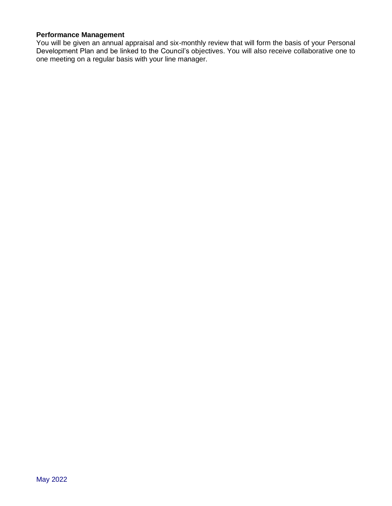## **Performance Management**

You will be given an annual appraisal and six-monthly review that will form the basis of your Personal Development Plan and be linked to the Council's objectives. You will also receive collaborative one to one meeting on a regular basis with your line manager.